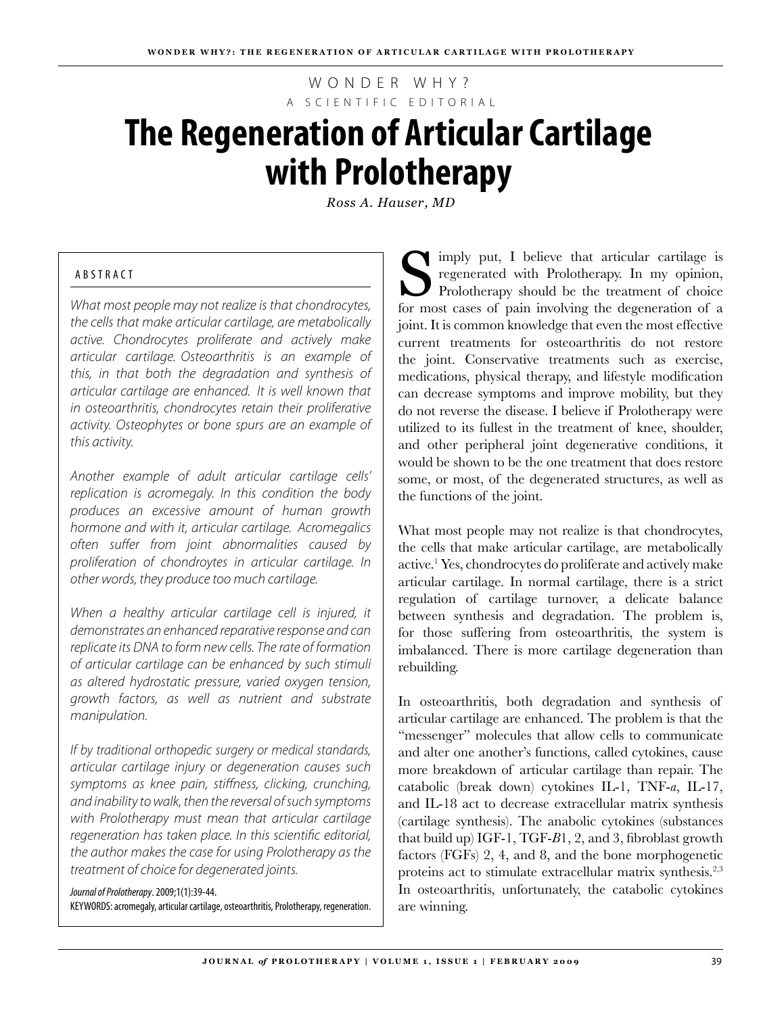WONDER WHY? A S C I E N T I F I C E D I T O R I A L

# **The Regeneration of Articular Cartilage with Prolotherapy**

*Ross A. Hauser, MD*

# A B ST R A C T

*What most people may not realize is that chondrocytes, the cells that make articular cartilage, are metabolically active. Chondrocytes proliferate and actively make articular cartilage. Osteoarthritis is an example of this, in that both the degradation and synthesis of articular cartilage are enhanced. It is well known that in osteoarthritis, chondrocytes retain their proliferative activity. Osteophytes or bone spurs are an example of this activity.* 

*Another example of adult articular cartilage cells' replication is acromegaly. In this condition the body produces an excessive amount of human growth hormone and with it, articular cartilage. Acromegalics often suffer from joint abnormalities caused by proliferation of chondroytes in articular cartilage. In other words, they produce too much cartilage.*

*When a healthy articular cartilage cell is injured, it demonstrates an enhanced reparative response and can replicate its DNA to form new cells. The rate of formation of articular cartilage can be enhanced by such stimuli as altered hydrostatic pressure, varied oxygen tension, growth factors, as well as nutrient and substrate manipulation.* 

*If by traditional orthopedic surgery or medical standards, articular cartilage injury or degeneration causes such symptoms as knee pain, stiffness, clicking, crunching, and inability to walk, then the reversal of such symptoms with Prolotherapy must mean that articular cartilage regeneration has taken place. In this scientific editorial, the author makes the case for using Prolotherapy as the treatment of choice for degenerated joints.*

*Journal of Prolotherapy*. 2009;1(1):39-44. keYWORds: acromegaly, articular cartilage, osteoarthritis, Prolotherapy, regeneration.

Simply put, I believe that articular cartilage is regenerated with Prolotherapy. In my opinion, Prolotherapy should be the treatment of choice for most cases of pain involving the degeneration of a joint. It is common knowledge that even the most effective current treatments for osteoarthritis do not restore the joint. Conservative treatments such as exercise, medications, physical therapy, and lifestyle modification can decrease symptoms and improve mobility, but they do not reverse the disease. I believe if Prolotherapy were utilized to its fullest in the treatment of knee, shoulder, and other peripheral joint degenerative conditions, it would be shown to be the one treatment that does restore some, or most, of the degenerated structures, as well as the functions of the joint.

What most people may not realize is that chondrocytes, the cells that make articular cartilage, are metabolically active.1 Yes, chondrocytes do proliferate and actively make articular cartilage. In normal cartilage, there is a strict regulation of cartilage turnover, a delicate balance between synthesis and degradation. The problem is, for those suffering from osteoarthritis, the system is imbalanced. There is more cartilage degeneration than rebuilding.

In osteoarthritis, both degradation and synthesis of articular cartilage are enhanced. The problem is that the "messenger" molecules that allow cells to communicate and alter one another's functions, called cytokines, cause more breakdown of articular cartilage than repair. The catabolic (break down) cytokines IL-1, TNF-*a*, IL-17, and IL-18 act to decrease extracellular matrix synthesis (cartilage synthesis). The anabolic cytokines (substances that build up) IGF-1, TGF-*B*1, 2, and 3, fibroblast growth factors (FGFs) 2, 4, and 8, and the bone morphogenetic proteins act to stimulate extracellular matrix synthesis.2,3 In osteoarthritis, unfortunately, the catabolic cytokines are winning.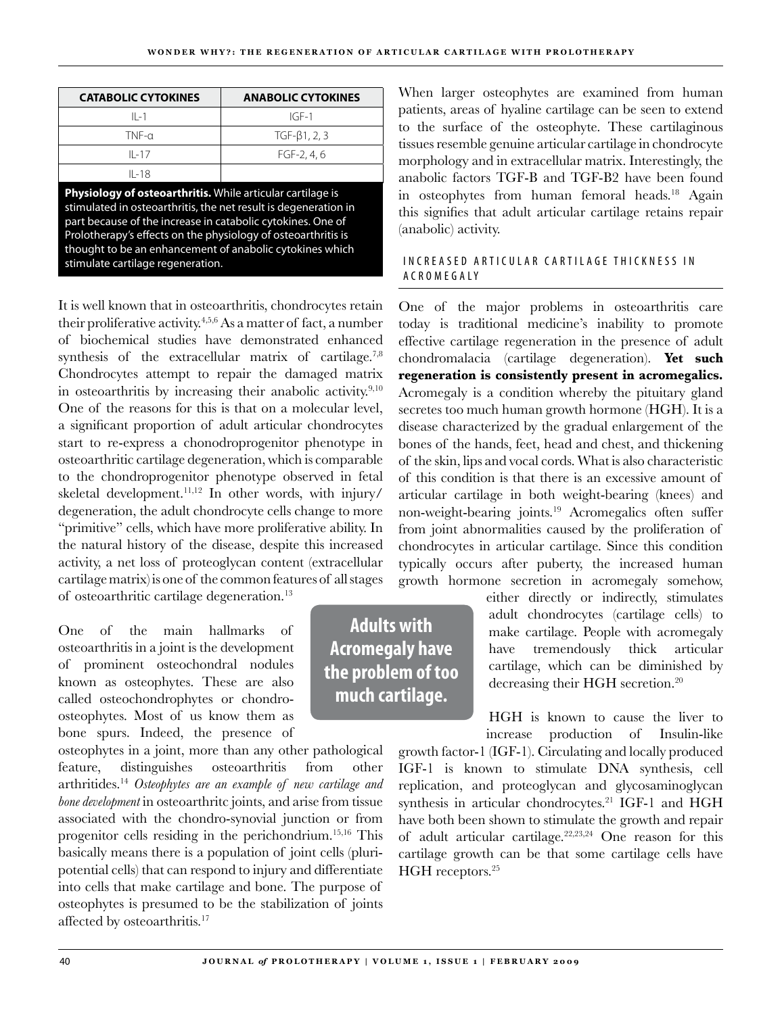| <b>CATABOLIC CYTOKINES</b> | <b>ANABOLIC CYTOKINES</b> |
|----------------------------|---------------------------|
| $II - 1$                   | $IGF-1$                   |
| $TNF-\alpha$               | $TGF-\beta1, 2, 3$        |
| $II - 17$                  | $FGF-2.4.6$               |
| $II - 18$                  |                           |

**Physiology of osteoarthritis.** While articular cartilage is stimulated in osteoarthritis, the net result is degeneration in part because of the increase in catabolic cytokines. One of Prolotherapy's effects on the physiology of osteoarthritis is thought to be an enhancement of anabolic cytokines which stimulate cartilage regeneration.

It is well known that in osteoarthritis, chondrocytes retain their proliferative activity.4,5,6 As a matter of fact, a number of biochemical studies have demonstrated enhanced synthesis of the extracellular matrix of cartilage.<sup>7,8</sup> Chondrocytes attempt to repair the damaged matrix in osteoarthritis by increasing their anabolic activity.<sup>9,10</sup> One of the reasons for this is that on a molecular level, a significant proportion of adult articular chondrocytes start to re-express a chonodroprogenitor phenotype in osteoarthritic cartilage degeneration, which is comparable to the chondroprogenitor phenotype observed in fetal skeletal development.<sup>11,12</sup> In other words, with injury/ degeneration, the adult chondrocyte cells change to more "primitive" cells, which have more proliferative ability. In the natural history of the disease, despite this increased activity, a net loss of proteoglycan content (extracellular cartilage matrix) is one of the common features of all stages

of osteoarthritic cartilage degeneration.13

One of the main hallmarks of osteoarthritis in a joint is the development of prominent osteochondral nodules known as osteophytes. These are also called osteochondrophytes or chondroosteophytes. Most of us know them as bone spurs. Indeed, the presence of

osteophytes in a joint, more than any other pathological feature, distinguishes osteoarthritis from other arthritides.14 *Osteophytes are an example of new cartilage and bone development* in osteoarthritc joints, and arise from tissue associated with the chondro-synovial junction or from progenitor cells residing in the perichondrium.15,16 This basically means there is a population of joint cells (pluripotential cells) that can respond to injury and differentiate into cells that make cartilage and bone. The purpose of osteophytes is presumed to be the stabilization of joints affected by osteoarthritis.<sup>17</sup>

When larger osteophytes are examined from human patients, areas of hyaline cartilage can be seen to extend to the surface of the osteophyte. These cartilaginous tissues resemble genuine articular cartilage in chondrocyte morphology and in extracellular matrix. Interestingly, the anabolic factors TGF-B and TGF-B2 have been found in osteophytes from human femoral heads.<sup>18</sup> Again this signifies that adult articular cartilage retains repair (anabolic) activity.

# IN CREASED ARTICULAR CARTILAGE THICKNESS IN A C R O M E G A L Y

One of the major problems in osteoarthritis care today is traditional medicine's inability to promote effective cartilage regeneration in the presence of adult chondromalacia (cartilage degeneration). **Yet such regeneration is consistently present in acromegalics.** Acromegaly is a condition whereby the pituitary gland secretes too much human growth hormone (HGH). It is a disease characterized by the gradual enlargement of the bones of the hands, feet, head and chest, and thickening of the skin, lips and vocal cords. What is also characteristic of this condition is that there is an excessive amount of articular cartilage in both weight-bearing (knees) and non-weight-bearing joints.<sup>19</sup> Acromegalics often suffer from joint abnormalities caused by the proliferation of chondrocytes in articular cartilage. Since this condition typically occurs after puberty, the increased human growth hormone secretion in acromegaly somehow,

> either directly or indirectly, stimulates adult chondrocytes (cartilage cells) to make cartilage. People with acromegaly have tremendously thick articular cartilage, which can be diminished by decreasing their HGH secretion.<sup>20</sup>

> HGH is known to cause the liver to increase production of Insulin-like

growth factor-1 (IGF-1). Circulating and locally produced IGF-1 is known to stimulate DNA synthesis, cell replication, and proteoglycan and glycosaminoglycan synthesis in articular chondrocytes.<sup>21</sup> IGF-1 and HGH have both been shown to stimulate the growth and repair of adult articular cartilage. $22,23,24$  One reason for this cartilage growth can be that some cartilage cells have HGH receptors.<sup>25</sup>

**Adults with Acromegaly have the problem of too much cartilage.**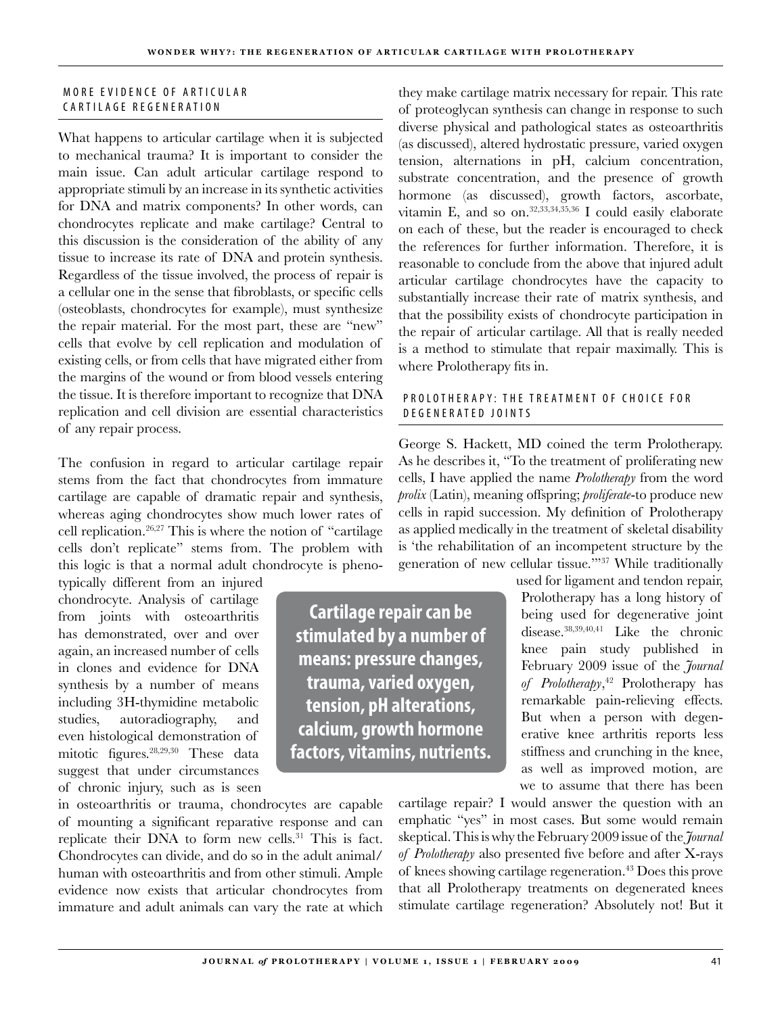## MORE EVIDENCE OF ARTICULAR CARTILAGE REGENERATION

What happens to articular cartilage when it is subjected to mechanical trauma? It is important to consider the main issue. Can adult articular cartilage respond to appropriate stimuli by an increase in its synthetic activities for DNA and matrix components? In other words, can chondrocytes replicate and make cartilage? Central to this discussion is the consideration of the ability of any tissue to increase its rate of DNA and protein synthesis. Regardless of the tissue involved, the process of repair is a cellular one in the sense that fibroblasts, or specific cells (osteoblasts, chondrocytes for example), must synthesize the repair material. For the most part, these are "new" cells that evolve by cell replication and modulation of existing cells, or from cells that have migrated either from the margins of the wound or from blood vessels entering the tissue. It is therefore important to recognize that DNA replication and cell division are essential characteristics of any repair process.

The confusion in regard to articular cartilage repair stems from the fact that chondrocytes from immature cartilage are capable of dramatic repair and synthesis, whereas aging chondrocytes show much lower rates of cell replication.26,27 This is where the notion of "cartilage cells don't replicate" stems from. The problem with this logic is that a normal adult chondrocyte is pheno-

typically different from an injured chondrocyte. Analysis of cartilage from joints with osteoarthritis has demonstrated, over and over again, an increased number of cells in clones and evidence for DNA synthesis by a number of means including 3H-thymidine metabolic studies, autoradiography, and even histological demonstration of mitotic figures.28,29,30 These data suggest that under circumstances of chronic injury, such as is seen

in osteoarthritis or trauma, chondrocytes are capable of mounting a significant reparative response and can replicate their DNA to form new cells.<sup>31</sup> This is fact. Chondrocytes can divide, and do so in the adult animal/ human with osteoarthritis and from other stimuli. Ample evidence now exists that articular chondrocytes from immature and adult animals can vary the rate at which

they make cartilage matrix necessary for repair. This rate of proteoglycan synthesis can change in response to such diverse physical and pathological states as osteoarthritis (as discussed), altered hydrostatic pressure, varied oxygen tension, alternations in pH, calcium concentration, substrate concentration, and the presence of growth hormone (as discussed), growth factors, ascorbate, vitamin E, and so on.<sup>32,33,34,35,36</sup> I could easily elaborate on each of these, but the reader is encouraged to check the references for further information. Therefore, it is reasonable to conclude from the above that injured adult articular cartilage chondrocytes have the capacity to substantially increase their rate of matrix synthesis, and that the possibility exists of chondrocyte participation in the repair of articular cartilage. All that is really needed is a method to stimulate that repair maximally. This is where Prolotherapy fits in.

## P ROLOTHERAPY: THE TREATMENT OF CHOICE FOR D E G E N E R A T E D JOINTS

George S. Hackett, MD coined the term Prolotherapy. As he describes it, "To the treatment of proliferating new cells, I have applied the name *Prolotherapy* from the word *prolix* (Latin), meaning offspring; *proliferate*-to produce new cells in rapid succession. My definition of Prolotherapy as applied medically in the treatment of skeletal disability is 'the rehabilitation of an incompetent structure by the generation of new cellular tissue.'"37 While traditionally

> used for ligament and tendon repair, Prolotherapy has a long history of being used for degenerative joint disease.38,39,40,41 Like the chronic knee pain study published in February 2009 issue of the *Journal of Prolotherapy*, 42 Prolotherapy has remarkable pain-relieving effects. But when a person with degenerative knee arthritis reports less stiffness and crunching in the knee, as well as improved motion, are we to assume that there has been

cartilage repair? I would answer the question with an emphatic "yes" in most cases. But some would remain skeptical. This is why the February 2009 issue of the *Journal of Prolotherapy* also presented five before and after X-rays of knees showing cartilage regeneration.43 Does this prove that all Prolotherapy treatments on degenerated knees stimulate cartilage regeneration? Absolutely not! But it

**Cartilage repair can be stimulated by a number of means: pressure changes, trauma, varied oxygen, tension, pH alterations, calcium, growth hormone factors, vitamins, nutrients.**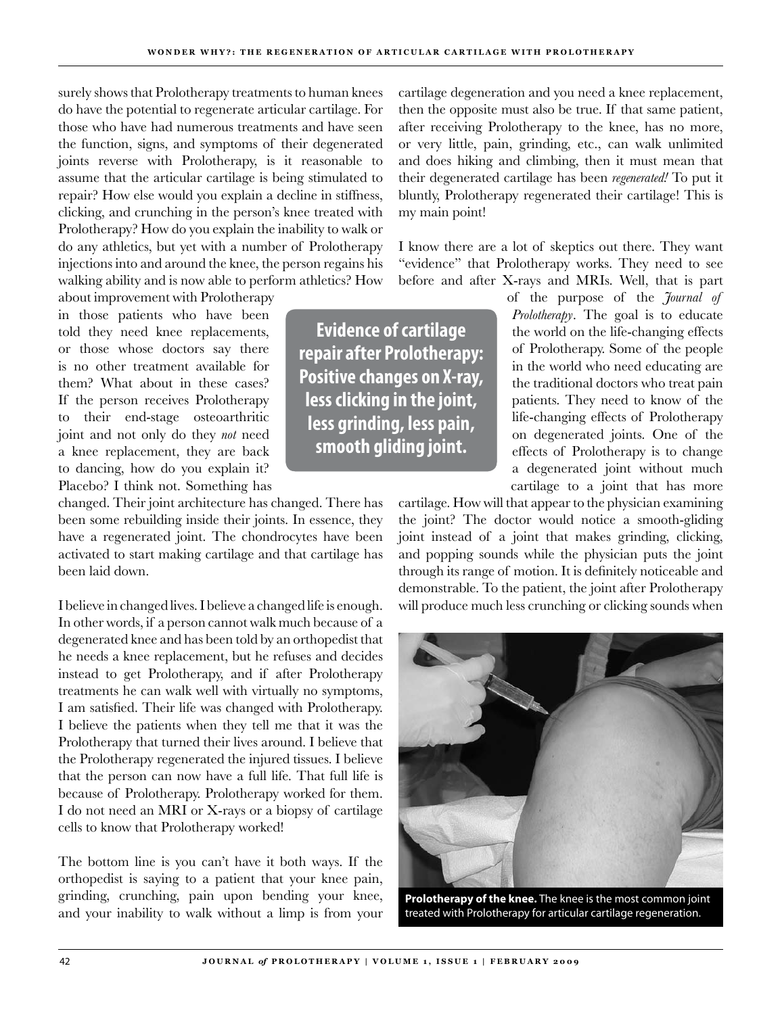surely shows that Prolotherapy treatments to human knees do have the potential to regenerate articular cartilage. For those who have had numerous treatments and have seen the function, signs, and symptoms of their degenerated joints reverse with Prolotherapy, is it reasonable to assume that the articular cartilage is being stimulated to repair? How else would you explain a decline in stiffness, clicking, and crunching in the person's knee treated with Prolotherapy? How do you explain the inability to walk or do any athletics, but yet with a number of Prolotherapy injections into and around the knee, the person regains his walking ability and is now able to perform athletics? How

about improvement with Prolotherapy in those patients who have been told they need knee replacements, or those whose doctors say there is no other treatment available for them? What about in these cases? If the person receives Prolotherapy to their end-stage osteoarthritic joint and not only do they *not* need a knee replacement, they are back to dancing, how do you explain it? Placebo? I think not. Something has

changed. Their joint architecture has changed. There has been some rebuilding inside their joints. In essence, they have a regenerated joint. The chondrocytes have been activated to start making cartilage and that cartilage has been laid down.

I believe in changed lives. I believe a changed life is enough. In other words, if a person cannot walk much because of a degenerated knee and has been told by an orthopedist that he needs a knee replacement, but he refuses and decides instead to get Prolotherapy, and if after Prolotherapy treatments he can walk well with virtually no symptoms, I am satisfied. Their life was changed with Prolotherapy. I believe the patients when they tell me that it was the Prolotherapy that turned their lives around. I believe that the Prolotherapy regenerated the injured tissues. I believe that the person can now have a full life. That full life is because of Prolotherapy. Prolotherapy worked for them. I do not need an MRI or X-rays or a biopsy of cartilage cells to know that Prolotherapy worked!

The bottom line is you can't have it both ways. If the orthopedist is saying to a patient that your knee pain, grinding, crunching, pain upon bending your knee, and your inability to walk without a limp is from your cartilage degeneration and you need a knee replacement, then the opposite must also be true. If that same patient, after receiving Prolotherapy to the knee, has no more, or very little, pain, grinding, etc., can walk unlimited and does hiking and climbing, then it must mean that their degenerated cartilage has been *regenerated!* To put it bluntly, Prolotherapy regenerated their cartilage! This is my main point!

I know there are a lot of skeptics out there. They want "evidence" that Prolotherapy works. They need to see before and after X-rays and MRIs. Well, that is part

**Evidence of cartilage repair after Prolotherapy: Positive changes on X-ray, less clicking in the joint, less grinding, less pain, smooth gliding joint.**

of the purpose of the *Journal of Prolotherapy*. The goal is to educate the world on the life-changing effects of Prolotherapy. Some of the people in the world who need educating are the traditional doctors who treat pain patients. They need to know of the life-changing effects of Prolotherapy on degenerated joints. One of the effects of Prolotherapy is to change a degenerated joint without much cartilage to a joint that has more

cartilage. How will that appear to the physician examining the joint? The doctor would notice a smooth-gliding joint instead of a joint that makes grinding, clicking, and popping sounds while the physician puts the joint through its range of motion. It is definitely noticeable and demonstrable. To the patient, the joint after Prolotherapy will produce much less crunching or clicking sounds when



**Prolotherapy of the knee.** The knee is the most common joint treated with Prolotherapy for articular cartilage regeneration.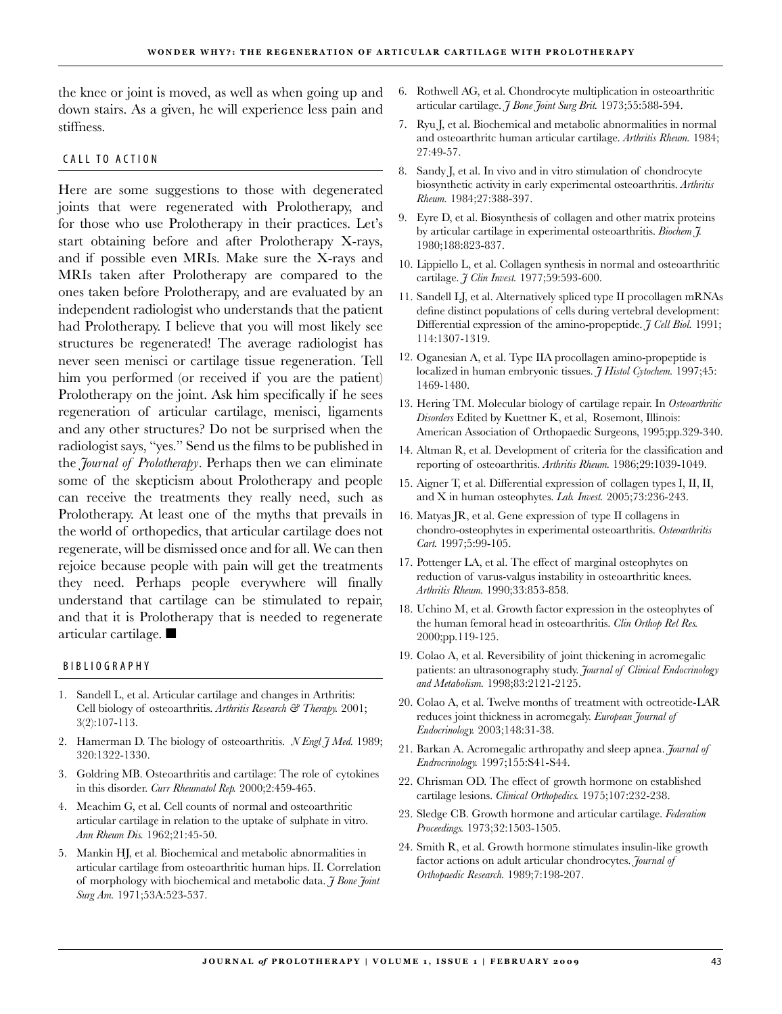the knee or joint is moved, as well as when going up and down stairs. As a given, he will experience less pain and stiffness.

#### CALL TO ACTION

Here are some suggestions to those with degenerated joints that were regenerated with Prolotherapy, and for those who use Prolotherapy in their practices. Let's start obtaining before and after Prolotherapy X-rays, and if possible even MRIs. Make sure the X-rays and MRIs taken after Prolotherapy are compared to the ones taken before Prolotherapy, and are evaluated by an independent radiologist who understands that the patient had Prolotherapy. I believe that you will most likely see structures be regenerated! The average radiologist has never seen menisci or cartilage tissue regeneration. Tell him you performed (or received if you are the patient) Prolotherapy on the joint. Ask him specifically if he sees regeneration of articular cartilage, menisci, ligaments and any other structures? Do not be surprised when the radiologist says, "yes." Send us the films to be published in the *Journal of Prolotherapy*. Perhaps then we can eliminate some of the skepticism about Prolotherapy and people can receive the treatments they really need, such as Prolotherapy. At least one of the myths that prevails in the world of orthopedics, that articular cartilage does not regenerate, will be dismissed once and for all. We can then rejoice because people with pain will get the treatments they need. Perhaps people everywhere will finally understand that cartilage can be stimulated to repair, and that it is Prolotherapy that is needed to regenerate articular cartilage.  $\blacksquare$ 

#### B I B L I O G R A P H Y

- Sandell L, et al. Articular cartilage and changes in Arthritis: 1. Cell biology of osteoarthritis. *Arthritis Research & Therapy.* 2001; 3(2):107-113.
- 2. Hamerman D. The biology of osteoarthritis. *N Engl J Med.* 1989; 320:1322-1330.
- Goldring MB. Osteoarthritis and cartilage: The role of cytokines 3. in this disorder. *Curr Rheumatol Rep.* 2000;2:459-465.
- Meachim G, et al. Cell counts of normal and osteoarthritic 4. articular cartilage in relation to the uptake of sulphate in vitro. *Ann Rheum Dis.* 1962;21:45-50.
- Mankin HJ, et al. Biochemical and metabolic abnormalities in 5. articular cartilage from osteoarthritic human hips. II. Correlation of morphology with biochemical and metabolic data. *J Bone Joint Surg Am.* 1971;53A:523-537.
- Rothwell AG, et al. Chondrocyte multiplication in osteoarthritic 6. articular cartilage. *J Bone Joint Surg Brit.* 1973;55:588-594.
- Ryu J, et al. Biochemical and metabolic abnormalities in normal 7. and osteoarthritc human articular cartilage. *Arthritis Rheum.* 1984; 27:49-57.
- Sandy J, et al. In vivo and in vitro stimulation of chondrocyte 8. biosynthetic activity in early experimental osteoarthritis. *Arthritis Rheum.* 1984;27:388-397.
- Eyre D, et al. Biosynthesis of collagen and other matrix proteins 9. by articular cartilage in experimental osteoarthritis. *Biochem J.* 1980;188:823-837.
- Lippiello L, et al. Collagen synthesis in normal and osteoarthritic 10. cartilage. *J Clin Invest.* 1977;59:593-600.
- 11. Sandell LJ, et al. Alternatively spliced type II procollagen mRNAs define distinct populations of cells during vertebral development: Differential expression of the amino-propeptide. *J Cell Biol.* 1991; 114:1307-1319.
- 12. Oganesian A, et al. Type IIA procollagen amino-propeptide is localized in human embryonic tissues. *J Histol Cytochem.* 1997;45: 1469-1480.
- 13. Hering TM. Molecular biology of cartilage repair. In Osteoarthritic *Disorders* Edited by Kuettner K, et al, Rosemont, Illinois: American Association of Orthopaedic Surgeons, 1995;pp.329-340.
- Altman R, et al. Development of criteria for the classification and 14. reporting of osteoarthritis. *Arthritis Rheum.* 1986;29:1039-1049.
- 15. Aigner T, et al. Differential expression of collagen types I, II, II, and X in human osteophytes. *Lab. Invest.* 2005;73:236-243.
- 16. Matyas JR, et al. Gene expression of type II collagens in chondro-osteophytes in experimental osteoarthritis. *Osteoarthritis Cart.* 1997;5:99-105.
- 17. Pottenger LA, et al. The effect of marginal osteophytes on reduction of varus-valgus instability in osteoarthritic knees. *Arthritis Rheum.* 1990;33:853-858.
- 18. Uchino M, et al. Growth factor expression in the osteophytes of the human femoral head in osteoarthritis. *Clin Orthop Rel Res.* 2000;pp.119-125.
- 19. Colao A, et al. Reversibility of joint thickening in acromegalic patients: an ultrasonography study. *Journal of Clinical Endocrinology and Metabolism.* 1998;83:2121-2125.
- 20. Colao A, et al. Twelve months of treatment with octreotide-LAR reduces joint thickness in acromegaly. *European Journal of Endocrinology.* 2003;148:31-38.
- 21. Barkan A. Acromegalic arthropathy and sleep apnea. *Journal of Endrocrinology.* 1997;155:S41-S44.
- 22. Chrisman OD. The effect of growth hormone on established cartilage lesions. *Clinical Orthopedics.* 1975;107:232-238.
- 23. Sledge CB. Growth hormone and articular cartilage. *Federation Proceedings.* 1973;32:1503-1505.
- 24. Smith R, et al. Growth hormone stimulates insulin-like growth factor actions on adult articular chondrocytes. *Journal of Orthopaedic Research.* 1989;7:198-207.